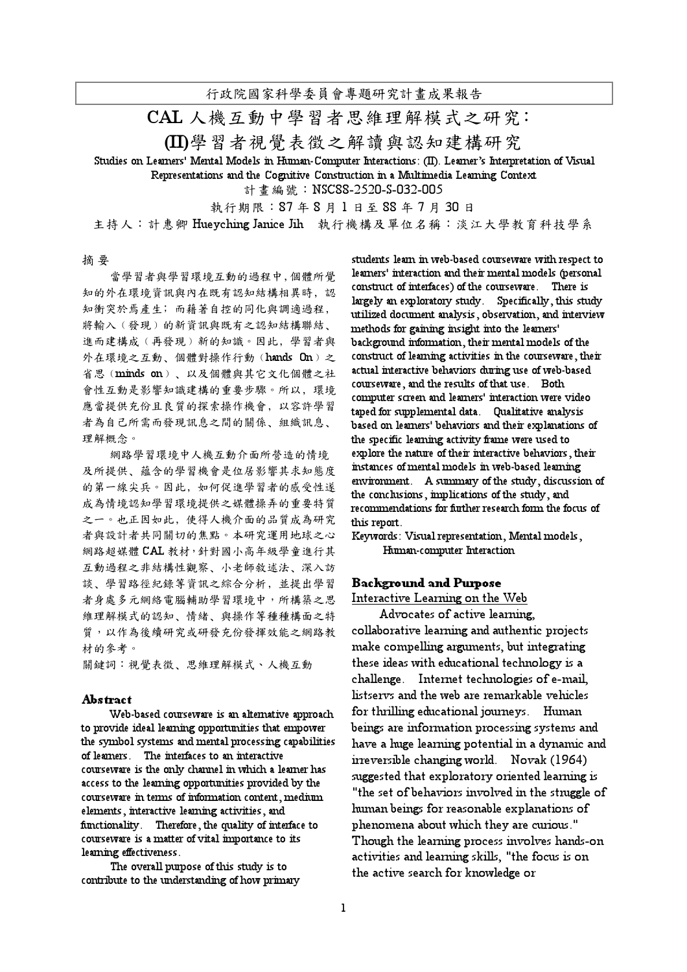行政院國家科學委員會專題研究計畫成果報告

CAL 人機互動中學習者思維理解模式之研究:

(II)學習者視覺表徵之解讀與認知建構研究

Studies on Learners' Mental Models in Human-Computer Interactions: (II). Learner's Interpretation of Visual Representations and the Cognitive Construction in a Multimedia Learning Context

計畫編號:NSC88-2520-S-032-005

執行期限:87年8月1日至88年7月30日

主持人: 計惠卿 Hueyching Janice Jih 執行機構及單位名稱:淡江大學教育科技學系

### 摘要

當學習者與學習環境互動的過程中,個體所覺 知的外在環境資訊與內在既有認知結構相異時,認 知衝突於焉產生;而藉著自控的同化與調適過程, 將輸入(發現)的新資訊與既有之認知結構聯結、 進而建構成(再發現)新的知識。因此,學習者與 外在環境之互動、個體對操作行動(hands On)之 省思(minds on)、以及個體與其它文化個體之社 會性互動是影響知識建構的重要步驟。所以,環境 應當提供充份且良質的探索操作機會, 以容許學習 者為自己所需而發現訊息之間的關係、組織訊息、 理解概念。

網路學習環境中人機互動介面所營造的情境 及所提供、蘊含的學習機會是位居影響其求知態度 的第一線尖兵。因此,如何促進學習者的感受性遂 成為情境認知學習環境提供之媒體操弄的重要特質 之一。也正因如此, 使得人機介面的品質成為研究 者與設計者共同關切的焦點。本研究運用地球之心 網路超媒體 CAL 教材, 針對國小高年級學童進行其 互動過程之非結構性觀察、小老師敘述法、深入訪 談、學習路徑紀錄等資訊之綜合分析,並提出學習 者身處多元網絡電腦輔助學習環境中,所構築之思 维理解模式的認知、情緒、與操作等種種構面之特 質,以作為後續研究或研發充份發揮效能之網路教 材的參考。

關鍵詞:視覺表徵、思維理解模式、人機互動

#### Abstract

Web-based courseware is an alternative approach to provide ideal learning opportunities that empower the symbol systems and mental processing capabilities of learners. The interfaces to an interactive courseware is the only channel in which a learner has access to the learning opportunities provided by the courseware in terms of information content, medium elements, interactive learning activities, and functionality. Therefore, the quality of interface to courseware is a matter of vital importance to its learning effectiveness.

The overall purpose of this study is to contribute to the understanding of how primary

students learn in web-based courseware with respect to learners' interaction and their mental models (personal construct of interfaces) of the courseware. There is largely an exploratory study. Specifically, this study utilized document analysis, observation, and interview methods for gaining insight into the learners' background information, their mental models of the construct of learning activities in the courseware, their actual interactive behaviors during use of web-based courseware, and the results of that use. Both computer screen and learners' interaction were video taped for supplemental data. Qualitative analysis based on learners' behaviors and their explanations of the specific learning activity frame were used to explore the nature of their interactive behaviors, their instances of mental models in web-based learning environment. A summary of the study, discussion of the conclusions, implications of the study, and recommendations for further research form the focus of this report.

Keywords: Visual representation, Mental models, Human-computer Interaction

## Background and Purpose

Interactive Learning on the Web

Advocates of active learning, collaborative learning and authentic projects make compelling arguments, but integrating these ideas with educational technology is a challenge. Internet technologies of e-mail, listservs and the web are remarkable vehicles for thrilling educational journeys. Human beings are information processing systems and have a huge learning potential in a dynamic and irreversible changing world. Novak (1964) suggested that exploratory oriented learning is "the set of behaviors involved in the struggle of human beings for reasonable explanations of phenomena about which they are curious." Though the learning process involves hands-on activities and learning skills, "the focus is on the active search for knowledge or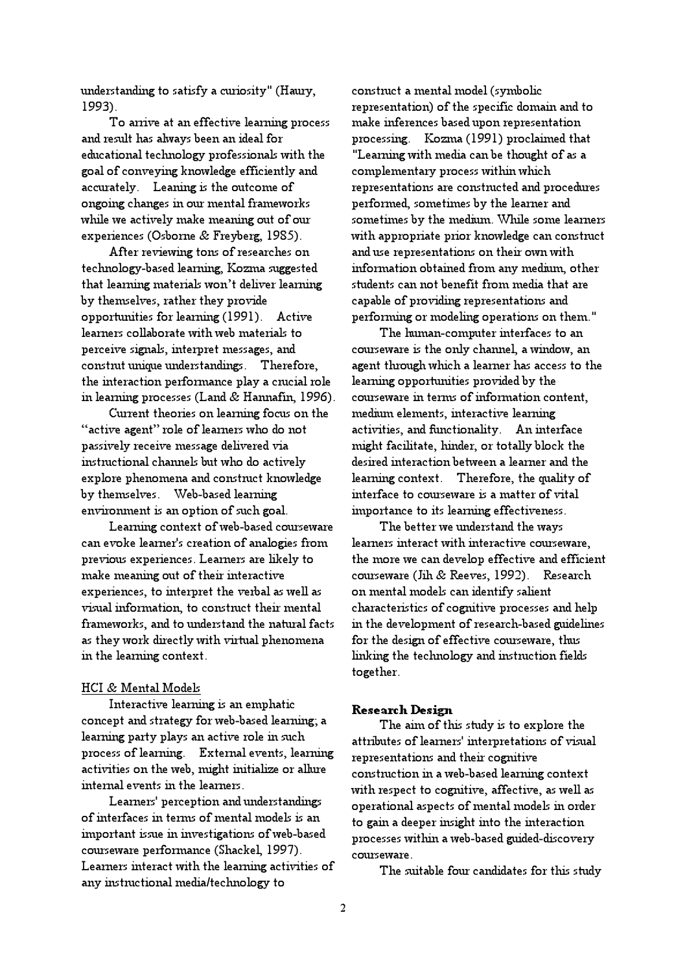understanding to satisfy a curiosity" (Haury, 1993).

To arrive at an effective learning process and result has always been an ideal for educational technology professionals with the goal of conveying knowledge efficiently and accurately. Leaning is the outcome of ongoing changes in our mental frameworks while we actively make meaning out of our experiences (Osborne & Freyberg, 1985).

After reviewing tons of researches on technology-based learning, Kozma suggested that learning materials won't deliver learning by themselves, rather they provide opportunities for learning (1991). Active learners collaborate with web materials to perceive signals, interpret messages, and construt unique understandings. Therefore, the interaction performance play a crucial role in learning processes (Land & Hannafin, 1996).

Current theories on learning focus on the "active agent" role of learners who do not passively receive message delivered via instructional channels but who do actively explore phenomena and construct knowledge by themselves. Web-based learning environment is an option of such goal.

Learning context of web-based courseware can evoke learner's creation of analogies from previous experiences. Learners are likely to make meaning out of their interactive experiences, to interpret the verbal as well as visual information, to construct their mental frameworks, and to understand the natural facts as they work directly with virtual phenomena in the learning context.

# HCI & Mental Models

Interactive learning is an emphatic concept and strategy for web-based learning; a learning party plays an active role in such process of learning. External events, learning activities on the web, might initialize or allure internal events in the learners.

Learners' perception and understandings of interfaces in terms of mental models is an important issue in investigations of web-based courseware performance (Shackel, 1997). Learners interact with the learning activities of any instructional media/technology to

construct a mental model (symbolic representation) of the specific domain and to make inferences based upon representation processing. Kozma (1991) proclaimed that "Learning with media can be thought of as a complementary process within which representations are constructed and procedures performed, sometimes by the learner and sometimes by the medium. While some learners with appropriate prior knowledge can construct and use representations on their own with information obtained from any medium, other students can not benefit from media that are capable of providing representations and performing or modeling operations on them."

The human-computer interfaces to an courseware is the only channel, a window, an agent through which a learner has access to the learning opportunities provided by the courseware in terms of information content, medium elements, interactive learning activities, and functionality. An interface might facilitate, hinder, or totally block the desired interaction between a learner and the learning context. Therefore, the quality of interface to courseware is a matter of vital importance to its learning effectiveness.

The better we understand the ways learners interact with interactive courseware, the more we can develop effective and efficient courseware (Jih & Reeves, 1992). Research on mental models can identify salient characteristics of cognitive processes and help in the development of research-based guidelines for the design of effective courseware, thus linking the technology and instruction fields together.

### Research Design

The aim of this study is to explore the attributes of learners' interpretations of visual representations and their cognitive construction in a web-based learning context with respect to cognitive, affective, as well as operational aspects of mental models in order to gain a deeper insight into the interaction processes within a web-based guided-discovery courseware.

The suitable four candidates for this study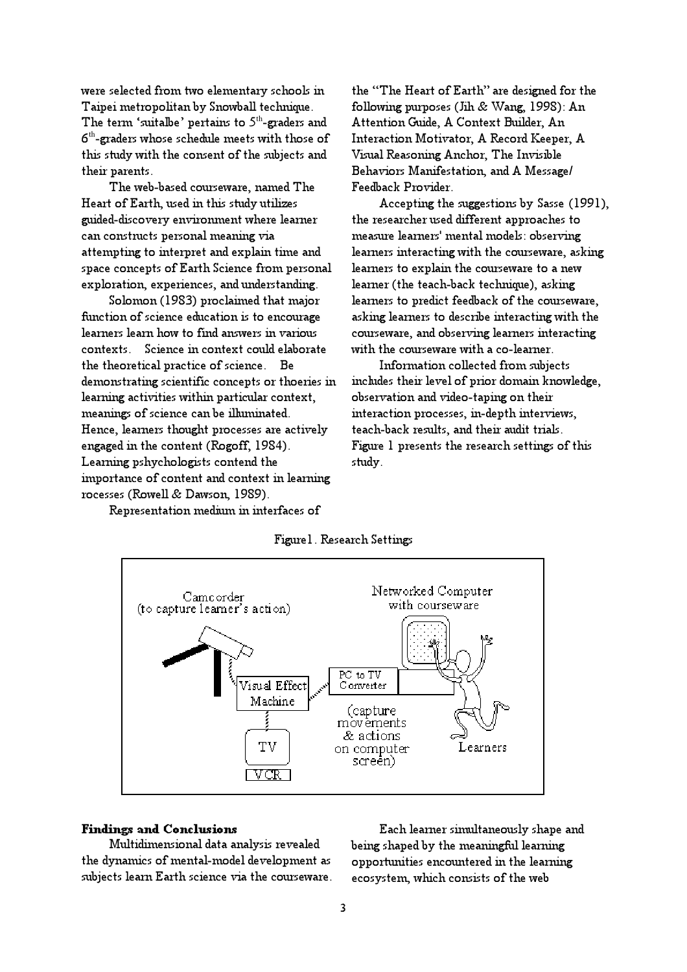were selected from two elementary schools in Taipei metropolitan by Snowball technique. The term 'suitalbe' pertains to  $5<sup>th</sup>$ -graders and  $6<sup>th</sup>$ -graders whose schedule meets with those of this study with the consent of the subjects and their parents.

The web-based courseware, named The Heart of Earth, used in this study utilizes guided-discovery environment where learner can constructs personal meaning via attempting to interpret and explain time and space concepts of Earth Science from personal exploration, experiences, and understanding.

Solomon (1983) proclaimed that major function of science education is to encourage learners learn how to find answers in various contexts. Science in context could elaborate the theoretical practice of science. Be demonstrating scientific concepts or thoeries in learning activities within particular context, meanings of science can be illuminated. Hence, learners thought processes are actively engaged in the content (Rogoff, 1984). Learning pshychologists contend the importance of content and context in learning rocesses (Rowell & Dawson, 1989).

Representation medium in interfaces of

the "The Heart of Earth" are designed for the following purposes (Jih & Wang, 1998): An Attention Guide, A Context Builder, An Interaction Motivator, A Record Keeper, A Visual Reasoning Anchor, The Invisible Behaviors Manifestation, and A Message/ Feedback Provider.

Accepting the suggestions by Sasse (1991), the researcher used different approaches to measure learners' mental models: observing learners interacting with the courseware, asking learners to explain the courseware to a new learner (the teach-back technique), asking learners to predict feedback of the courseware, asking learners to describe interacting with the courseware, and observing learners interacting with the courseware with a co-learner.

Information collected from subjects includes their level of prior domain knowledge, observation and video-taping on their interaction processes, in-depth interviews, teach-back results, and their audit trials. Figure 1 presents the research settings of this study.



Figure1. Research Settings

### Findings and Conclusions

Multidimensional data analysis revealed the dynamics of mental-model development as subjects learn Earth science via the courseware.

Each learner simultaneously shape and being shaped by the meaningful learning opportunities encountered in the learning ecosystem, which consists of the web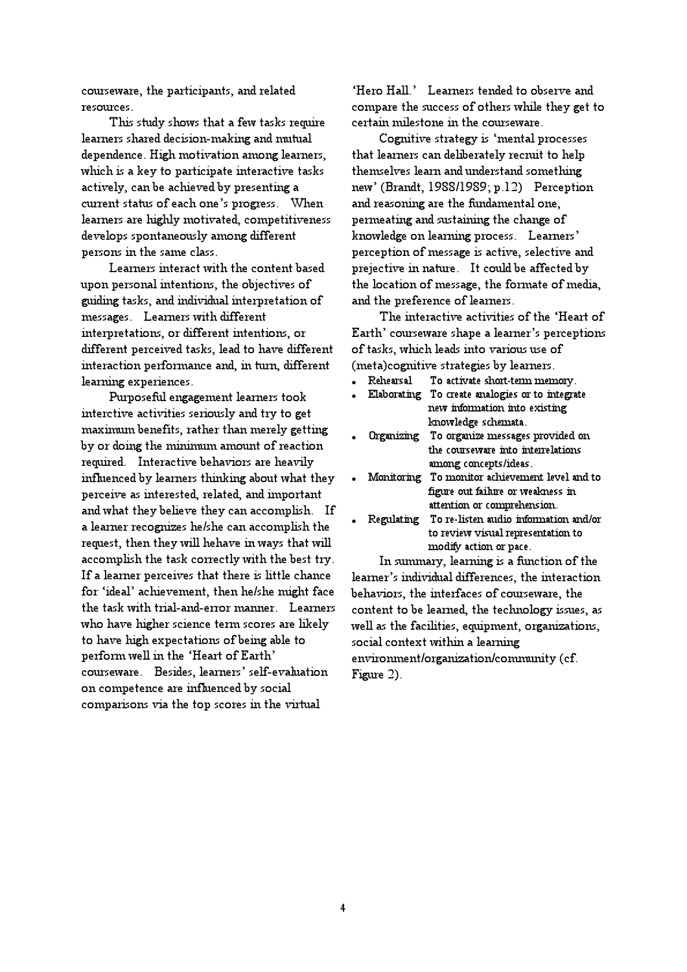courseware, the participants, and related resources.

This study shows that a few tasks require learners shared decision-making and mutual dependence. High motivation among learners, which is a key to participate interactive tasks actively, can be achieved by presenting a current status of each one's progress. When learners are highly motivated, competitiveness develops spontaneously among different persons in the same class.

Learners interact with the content based upon personal intentions, the objectives of guiding tasks, and individual interpretation of messages. Learners with different interpretations, or different intentions, or different perceived tasks, lead to have different interaction performance and, in turn, different learning experiences.

Purposeful engagement learners took interctive activities seriously and try to get maximum benefits, rather than merely getting by or doing the minimum amount of reaction required. Interactive behaviors are heavily influenced by learners thinking about what they perceive as interested, related, and important and what they believe they can accomplish. If a learner recognizes he/she can accomplish the request, then they will hehave in ways that will accomplish the task correctly with the best try. If a learner perceives that there is little chance for 'ideal' achievement, then he/she might face the task with trial-and-error manner. Learners who have higher science term scores are likely to have high expectations of being able to perform well in the 'Heart of Earth' courseware. Besides, learners' self-evaluation on competence are influenced by social comparisons via the top scores in the virtual

'Hero Hall.' Learners tended to observe and compare the success of others while they get to certain milestone in the courseware.

Cognitive strategy is 'mental processes that learners can deliberately recruit to help themselves learn and understand something new' (Brandt, 1988/1989; p.12) Perception and reasoning are the fundamental one, permeating and sustaining the change of knowledge on learning process. Learners' perception of message is active, selective and prejective in nature. It could be affected by the location of message, the formate of media, and the preference of learners.

The interactive activities of the 'Heart of Earth' courseware shape a learner's perceptions of tasks, which leads into various use of (meta)cognitive strategies by learners.

- Rehearsal To activate short-term memory.
- Elaborating To create analogies or to integrate new information into existing knowledge schemata.
- Organizing To organize messages provided on the courseware into interrelations among concepts/ideas.
- Monitoring To monitor achievement level and to figure out failure or weakness in attention or comprehension.
- Regulating To re-listen audio information and/or to review visual representation to modify action or pace.

In summary, learning is a function of the learner's individual differences, the interaction behaviors, the interfaces of courseware, the content to be learned, the technology issues, as well as the facilities, equipment, organizations, social context within a learning environment/organization/community (cf.

Figure 2).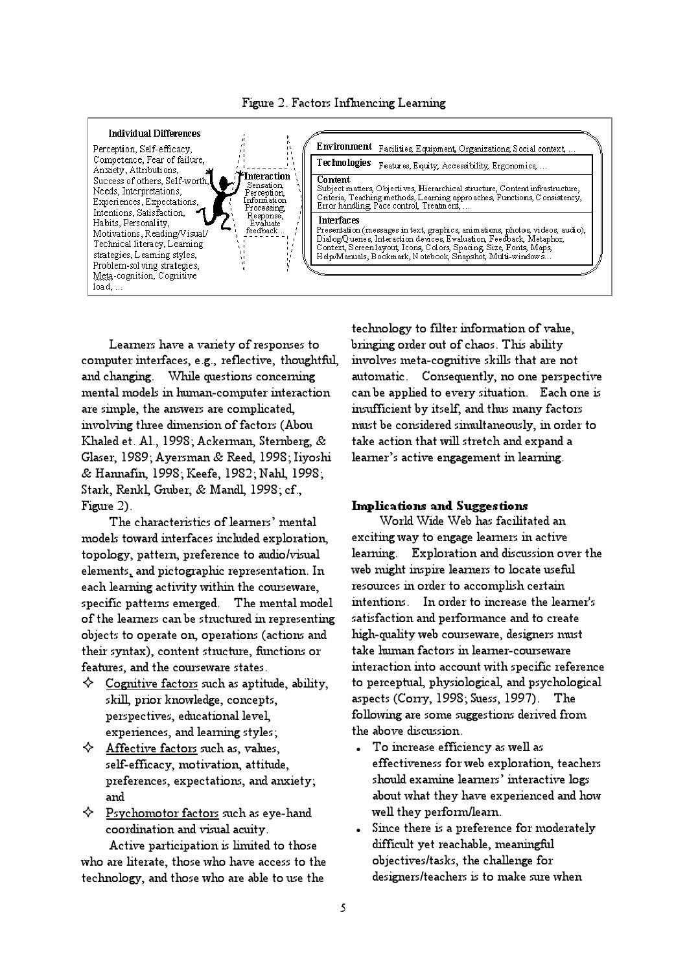

Learners have a variety of responses to computer interfaces, e.g., reflective, thoughtful, and changing. While questions concerning mental models in human-computer interaction are simple, the answers are complicated, involving three dimension of factors (Abou Khaled et. Al., 1998; Ackerman, Sternberg, & Glaser, 1989; Ayersman & Reed, 1998; Iiyoshi & Hannafin, 1998; Keefe, 1982; Nahl, 1998; Stark, Renkl, Gruber, & Mandl, 1998; cf., Figure 2).

The characteristics of learners' mental models toward interfaces included exploration, topology, pattern, preference to audio/visual elements, and pictographic representation. In each learning activity within the courseware, specific patterns emerged. The mental model of the learners can be structured in representing objects to operate on, operations (actions and their syntax), content structure, functions or features, and the courseware states.

- $\diamondsuit$  Cognitive factors such as aptitude, ability, skill, prior knowledge, concepts, perspectives, educational level, experiences, and learning styles;
- $\Leftrightarrow$  Affective factors such as, values, self-efficacy, motivation, attitude, preferences, expectations, and anxiety; and
- $\Leftrightarrow$  Psychomotor factors such as eye-hand coordination and visual acuity.

Active participation is limited to those who are literate, those who have access to the technology, and those who are able to use the

technology to filter information of value, bringing order out of chaos. This ability involves meta-cognitive skills that are not automatic. Consequently, no one perspective can be applied to every situation. Each one is insufficient by itself, and thus many factors must be considered simultaneously, in order to take action that will stretch and expand a learner's active engagement in learning.

## Implications and Suggestions

World Wide Web has facilitated an exciting way to engage learners in active learning. Exploration and discussion over the web might inspire learners to locate useful resources in order to accomplish certain intentions. In order to increase the learner's satisfaction and performance and to create high-quality web courseware, designers must take human factors in learner-courseware interaction into account with specific reference to perceptual, physiological, and psychological aspects (Corry, 1998; Suess, 1997). The following are some suggestions derived from the above discussion.

- To increase efficiency as well as effectiveness for web exploration, teachers should examine learners' interactive logs about what they have experienced and how well they perform/learn.
- Since there is a preference for moderately difficult yet reachable, meaningful objectives/tasks, the challenge for designers/teachers is to make sure when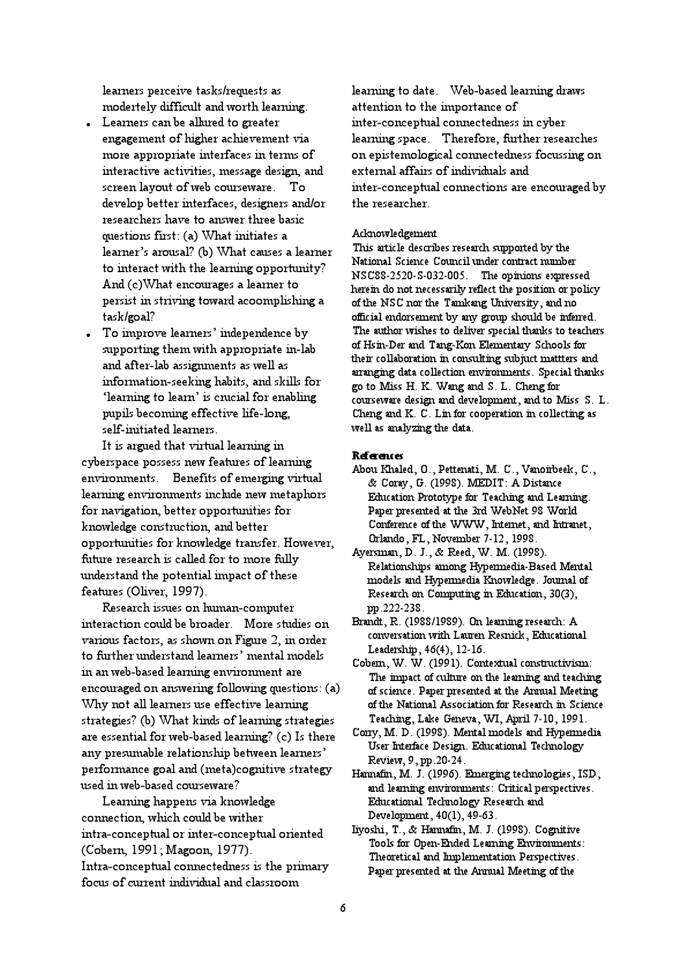learners perceive tasks/requests as modertely difficult and worth learning.

- Learners can be allured to greater engagement of higher achievement via more appropriate interfaces in terms of interactive activities, message design, and screen layout of web courseware. To develop better interfaces, designers and/or researchers have to answer three basic questions first: (a) What initiates a learner's arousal? (b) What causes a learner to interact with the learning opportunity? And (c)What encourages a learner to persist in striving toward acoomplishing a task/goal?
- To improve learners' independence by supporting them with appropriate in-lab and after-lab assignments as well as information-seeking habits, and skills for 'learning to learn' is crucial for enabling pupils becoming effective life-long, self-initiated learners.

It is argued that virtual learning in cyberspace possess new features of learning environments. Benefits of emerging virtual learning environments include new metaphors for navigation, better opportunities for knowledge construction, and better opportunities for knowledge transfer. However, future research is called for to more fully understand the potential impact of these features (Oliver, 1997).

Research issues on human-computer interaction could be broader. More studies on various factors, as shown on Figure 2, in order to further understand learners' mental models in an web-based learning environment are encouraged on answering following questions: (a) Why not all learners use effective learning strategies? (b) What kinds of learning strategies are essential for web-based learning? (c) Is there any presumable relationship between learners' performance goal and (meta)cognitive strategy used in web-based courseware?

Learning happens via knowledge connection, which could be wither intra-conceptual or inter-conceptual oriented (Cobern, 1991; Magoon, 1977). Intra-conceptual connectedness is the primary focus of current individual and classroom

learning to date. Web-based learning draws attention to the importance of inter-conceptual connectedness in cyber learning space. Therefore, further researches on epistemological connectedness focussing on external affairs of individuals and inter-conceptual connections are encouraged by the researcher.

## Acknowledgement

This article describes research supported by the National Science Council under contract number NSC88-2520-S-032-005. The opinions expressed herein do not necessarily reflect the position or policy of the NSC nor the Tamkang University, and no official endorsement by any group should be inferred. The author wishes to deliver special thanks to teachers of Hsin-Der and Tang-Kon Elementary Schools for their collaboration in consulting subjuct mattters and arranging data collection environments. Special thanks go to Miss H. K. Wang and S. L. Cheng for courseware design and development, and to Miss S. L. Cheng and K. C. Lin for cooperation in collecting as well as analyzing the data.

#### **References**

- Abou Khaled, O., Pettenati, M. C., Vanoirbeek, C., & Coray, G. (1998). MEDIT: A Distance Education Prototype for Teaching and Learning. Paper presented at the 3rd WebNet 98 World Conference of the WWW, Internet, and Intranet, Orlando, FL, November 7-12, 1998.
- Ayersman, D. J., & Reed, W. M. (1998). Relationships among Hypermedia-Based Mental models and Hypermedia Knowledge. Journal of Research on Computing in Education, 30(3), pp.222-238.
- Brandt, R. (1988/1989). On learning research: A conversation with Lauren Resnick, Educational Leadership, 46(4), 12-16.
- Cobern, W. W. (1991). Contextual constructivism: The impact of culture on the learning and teaching of science. Paper presented at the Annual Meeting of the National Association for Research in Science Teaching, Lake Geneva, WI, April 7-10, 1991.
- Corry, M. D. (1998). Mental models and Hypermedia User Interface Design. Educational Technology Review, 9, pp.20-24.
- Hannafin, M. J. (1996). Emerging technologies, ISD, and learning environments: Critical perspectives. Educational Technology Research and Development, 40(1), 49-63.
- Iiyoshi, T., & Hannafin, M. J. (1998). Cognitive Tools for Open-Ended Learning Environments: Theoretical and Implementation Perspectives. Paper presented at the Annual Meeting of the